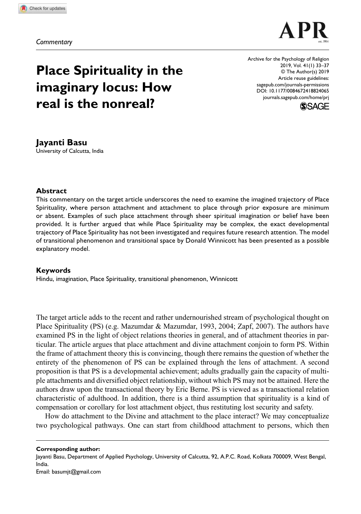*Commentary*



# **Place Spirituality in the imaginary locus: How real is the nonreal?**

DOI: 10.1177/0084672418824065 Archive for the Psychology of Religion 2019, Vol. 41(1) 33-37 © The Author(s) 2019 Article reuse guidelines: sagepub.com/journals-permissions journals.sagepub.com/home/prj



## **Jayanti Basu**

University of Calcutta, India

### **Abstract**

This commentary on the target article underscores the need to examine the imagined trajectory of Place Spirituality, where person attachment and attachment to place through prior exposure are minimum or absent. Examples of such place attachment through sheer spiritual imagination or belief have been provided. It is further argued that while Place Spirituality may be complex, the exact developmental trajectory of Place Spirituality has not been investigated and requires future research attention. The model of transitional phenomenon and transitional space by Donald Winnicott has been presented as a possible explanatory model.

#### **Keywords**

Hindu, imagination, Place Spirituality, transitional phenomenon, Winnicott

The target article adds to the recent and rather undernourished stream of psychological thought on Place Spirituality (PS) (e.g. Mazumdar & Mazumdar, 1993, 2004; Zapf, 2007). The authors have examined PS in the light of Object relations theories in general, and of attachment theories in particular. The article argues that place attachment and divine attachment conjoin to form PS. Within the frame of attachment theory this is convincing, though there remains the question of whether the entirety of the phenomenon of PS can be explained through the lens of attachment. A second proposition is that PS is a developmental achievement; adults gradually gain the capacity of multiple attachments and diversified object relationship, without which PS may not be attained. Here the authors draw upon the transactional theory by Eric Berne. PS is viewed as a transactional relation characteristic of adulthood. In addition, there is a third assumption that spirituality is a kind of compensation or corollary for lost attachment object, thus restituting lost security and safety.

How do attachment to the Divine and attachment to the place interact? We may conceptualize two psychological pathways. One can start from childhood attachment to persons, which then

**Corresponding author:** Jayanti Basu, Department of Applied Psychology, University of Calcutta, 92, A.P.C. Road, Kolkata 700009, West Bengal, India. Email: basumjt@gmail.com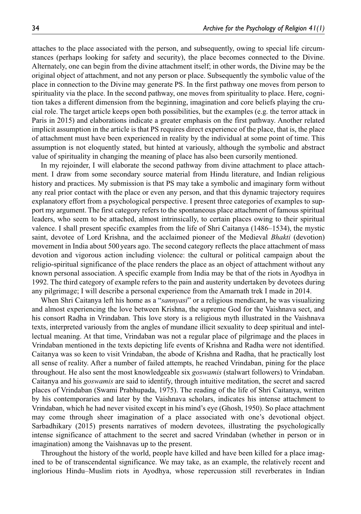attaches to the place associated with the person, and subsequently, owing to special life circumstances (perhaps looking for safety and security), the place becomes connected to the Divine. Alternately, one can begin from the divine attachment itself; in other words, the Divine may be the original object of attachment, and not any person or place. Subsequently the symbolic value of the place in connection to the Divine may generate PS. In the first pathway one moves from person to spirituality via the place. In the second pathway, one moves from spirituality to place. Here, cognition takes a different dimension from the beginning, imagination and core beliefs playing the crucial role. The target article keeps open both possibilities, but the examples (e.g. the terror attack in Paris in 2015) and elaborations indicate a greater emphasis on the first pathway. Another related implicit assumption in the article is that PS requires direct experience of the place, that is, the place of attachment must have been experienced in reality by the individual at some point of time. This assumption is not eloquently stated, but hinted at variously, although the symbolic and abstract value of spirituality in changing the meaning of place has also been cursorily mentioned.

In my rejoinder, I will elaborate the second pathway from divine attachment to place attachment. I draw from some secondary source material from Hindu literature, and Indian religious history and practices. My submission is that PS may take a symbolic and imaginary form without any real prior contact with the place or even any person, and that this dynamic trajectory requires explanatory effort from a psychological perspective. I present three categories of examples to support my argument. The first category refers to the spontaneous place attachment of famous spiritual leaders, who seem to be attached, almost intrinsically, to certain places owing to their spiritual valence. I shall present specific examples from the life of Shri Caitanya (1486–1534), the mystic saint, devotee of Lord Krishna, and the acclaimed pioneer of the Medieval *Bhakti* (devotion) movement in India about 500 years ago. The second category reflects the place attachment of mass devotion and vigorous action including violence: the cultural or political campaign about the religio-spiritual significance of the place renders the place as an object of attachment without any known personal association. A specific example from India may be that of the riots in Ayodhya in 1992. The third category of example refers to the pain and austerity undertaken by devotees during any pilgrimage; I will describe a personal experience from the Amarnath trek I made in 2014.

When Shri Caitanya left his home as a "*sannyasi*" or a religious mendicant, he was visualizing and almost experiencing the love between Krishna, the supreme God for the Vaishnava sect, and his consort Radha in Vrindaban. This love story is a religious myth illustrated in the Vaishnava texts, interpreted variously from the angles of mundane illicit sexuality to deep spiritual and intellectual meaning. At that time, Vrindaban was not a regular place of pilgrimage and the places in Vrindaban mentioned in the texts depicting life events of Krishna and Radha were not identified. Caitanya was so keen to visit Vrindaban, the abode of Krishna and Radha, that he practically lost all sense of reality. After a number of failed attempts, he reached Vrindaban, pining for the place throughout. He also sent the most knowledgeable six *goswamis* (stalwart followers) to Vrindaban. Caitanya and his *goswamis* are said to identify, through intuitive meditation, the secret and sacred places of Vrindaban (Swami Prabhupada, 1975). The reading of the life of Shri Caitanya, written by his contemporaries and later by the Vaishnava scholars, indicates his intense attachment to Vrindaban, which he had never visited except in his mind's eye (Ghosh, 1950). So place attachment may come through sheer imagination of a place associated with one's devotional object. Sarbadhikary (2015) presents narratives of modern devotees, illustrating the psychologically intense significance of attachment to the secret and sacred Vrindaban (whether in person or in imagination) among the Vaishnavas up to the present.

Throughout the history of the world, people have killed and have been killed for a place imagined to be of transcendental significance. We may take, as an example, the relatively recent and inglorious Hindu–Muslim riots in Ayodhya, whose repercussion still reverberates in Indian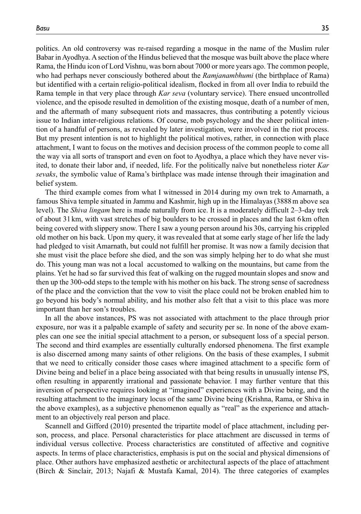politics. An old controversy was re-raised regarding a mosque in the name of the Muslim ruler Babar in Ayodhya. A section of the Hindus believed that the mosque was built above the place where Rama, the Hindu icon of Lord Vishnu, was born about 7000 or more years ago. The common people, who had perhaps never consciously bothered about the *Ramjanambhumi* (the birthplace of Rama) but identified with a certain religio-political idealism, flocked in from all over India to rebuild the Rama temple in that very place through *Kar seva* (voluntary service). There ensued uncontrolled violence, and the episode resulted in demolition of the existing mosque, death of a number of men, and the aftermath of many subsequent riots and massacres, thus contributing a potently vicious issue to Indian inter-religious relations. Of course, mob psychology and the sheer political intention of a handful of persons, as revealed by later investigation, were involved in the riot process. But my present intention is not to highlight the political motives, rather, in connection with place attachment, I want to focus on the motives and decision process of the common people to come all the way via all sorts of transport and even on foot to Ayodhya, a place which they have never visited, to donate their labor and, if needed, life. For the politically naïve but nonetheless rioter *Kar sevaks*, the symbolic value of Rama's birthplace was made intense through their imagination and belief system.

The third example comes from what I witnessed in 2014 during my own trek to Amarnath, a famous Shiva temple situated in Jammu and Kashmir, high up in the Himalayas (3888 m above sea level). The *Shiva lingam* here is made naturally from ice. It is a moderately difficult 2–3-day trek of about 31 km, with vast stretches of big boulders to be crossed in places and the last 6 km often being covered with slippery snow. There I saw a young person around his 30s, carrying his crippled old mother on his back. Upon my query, it was revealed that at some early stage of her life the lady had pledged to visit Amarnath, but could not fulfill her promise. It was now a family decision that she must visit the place before she died, and the son was simply helping her to do what she must do. This young man was not a local accustomed to walking on the mountains, but came from the plains. Yet he had so far survived this feat of walking on the rugged mountain slopes and snow and then up the 300-odd steps to the temple with his mother on his back. The strong sense of sacredness of the place and the conviction that the vow to visit the place could not be broken enabled him to go beyond his body's normal ability, and his mother also felt that a visit to this place was more important than her son's troubles.

In all the above instances, PS was not associated with attachment to the place through prior exposure, nor was it a palpable example of safety and security per se. In none of the above examples can one see the initial special attachment to a person, or subsequent loss of a special person. The second and third examples are essentially culturally endorsed phenomena. The first example is also discerned among many saints of other religions. On the basis of these examples, I submit that we need to critically consider those cases where imagined attachment to a specific form of Divine being and belief in a place being associated with that being results in unusually intense PS, often resulting in apparently irrational and passionate behavior. I may further venture that this inversion of perspective requires looking at "imagined" experiences with a Divine being, and the resulting attachment to the imaginary locus of the same Divine being (Krishna, Rama, or Shiva in the above examples), as a subjective phenomenon equally as "real" as the experience and attachment to an objectively real person and place.

Scannell and Gifford (2010) presented the tripartite model of place attachment, including person, process, and place. Personal characteristics for place attachment are discussed in terms of individual versus collective. Process characteristics are constituted of affective and cognitive aspects. In terms of place characteristics, emphasis is put on the social and physical dimensions of place. Other authors have emphasized aesthetic or architectural aspects of the place of attachment (Birch & Sinclair, 2013; Najafi & Mustafa Kamal, 2014). The three categories of examples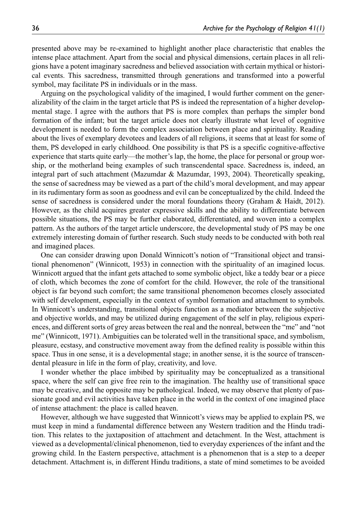presented above may be re-examined to highlight another place characteristic that enables the intense place attachment. Apart from the social and physical dimensions, certain places in all religions have a potent imaginary sacredness and believed association with certain mythical or historical events. This sacredness, transmitted through generations and transformed into a powerful symbol, may facilitate PS in individuals or in the mass.

Arguing on the psychological validity of the imagined, I would further comment on the generalizability of the claim in the target article that PS is indeed the representation of a higher developmental stage. I agree with the authors that PS is more complex than perhaps the simpler bond formation of the infant; but the target article does not clearly illustrate what level of cognitive development is needed to form the complex association between place and spirituality. Reading about the lives of exemplary devotees and leaders of all religions, it seems that at least for some of them, PS developed in early childhood. One possibility is that PS is a specific cognitive-affective experience that starts quite early—the mother's lap, the home, the place for personal or group worship, or the motherland being examples of such transcendental space. Sacredness is, indeed, an integral part of such attachment (Mazumdar & Mazumdar, 1993, 2004). Theoretically speaking, the sense of sacredness may be viewed as a part of the child's moral development, and may appear in its rudimentary form as soon as goodness and evil can be conceptualized by the child. Indeed the sense of sacredness is considered under the moral foundations theory (Graham & Haidt, 2012). However, as the child acquires greater expressive skills and the ability to differentiate between possible situations, the PS may be further elaborated, differentiated, and woven into a complex pattern. As the authors of the target article underscore, the developmental study of PS may be one extremely interesting domain of further research. Such study needs to be conducted with both real and imagined places.

One can consider drawing upon Donald Winnicott's notion of "Transitional object and transitional phenomenon" (Winnicott, 1953) in connection with the spirituality of an imagined locus. Winnicott argued that the infant gets attached to some symbolic object, like a teddy bear or a piece of cloth, which becomes the zone of comfort for the child. However, the role of the transitional object is far beyond such comfort; the same transitional phenomenon becomes closely associated with self development, especially in the context of symbol formation and attachment to symbols. In Winnicott's understanding, transitional objects function as a mediator between the subjective and objective worlds, and may be utilized during engagement of the self in play, religious experiences, and different sorts of grey areas between the real and the nonreal, between the "me" and "not me" (Winnicott, 1971). Ambiguities can be tolerated well in the transitional space, and symbolism, pleasure, ecstasy, and constructive movement away from the defined reality is possible within this space. Thus in one sense, it is a developmental stage; in another sense, it is the source of transcendental pleasure in life in the form of play, creativity, and love.

I wonder whether the place imbibed by spirituality may be conceptualized as a transitional space, where the self can give free rein to the imagination. The healthy use of transitional space may be creative, and the opposite may be pathological. Indeed, we may observe that plenty of passionate good and evil activities have taken place in the world in the context of one imagined place of intense attachment: the place is called heaven.

However, although we have suggested that Winnicott's views may be applied to explain PS, we must keep in mind a fundamental difference between any Western tradition and the Hindu tradition. This relates to the juxtaposition of attachment and detachment. In the West, attachment is viewed as a developmental/clinical phenomenon, tied to everyday experiences of the infant and the growing child. In the Eastern perspective, attachment is a phenomenon that is a step to a deeper detachment. Attachment is, in different Hindu traditions, a state of mind sometimes to be avoided